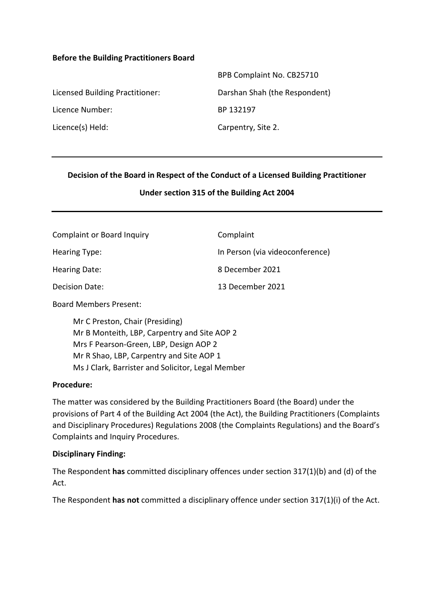#### **Before the Building Practitioners Board**

|                                 | BPB Complaint No. CB25710     |
|---------------------------------|-------------------------------|
| Licensed Building Practitioner: | Darshan Shah (the Respondent) |
| Licence Number:                 | BP 132197                     |
| Licence(s) Held:                | Carpentry, Site 2.            |

#### **Decision of the Board in Respect of the Conduct of a Licensed Building Practitioner**

#### **Under section 315 of the Building Act 2004**

| <b>Complaint or Board Inquiry</b> | Complaint                       |
|-----------------------------------|---------------------------------|
| Hearing Type:                     | In Person (via videoconference) |
| Hearing Date:                     | 8 December 2021                 |
| Decision Date:                    | 13 December 2021                |

Board Members Present:

Mr C Preston, Chair (Presiding) Mr B Monteith, LBP, Carpentry and Site AOP 2 Mrs F Pearson-Green, LBP, Design AOP 2 Mr R Shao, LBP, Carpentry and Site AOP 1 Ms J Clark, Barrister and Solicitor, Legal Member

#### **Procedure:**

The matter was considered by the Building Practitioners Board (the Board) under the provisions of Part 4 of the Building Act 2004 (the Act), the Building Practitioners (Complaints and Disciplinary Procedures) Regulations 2008 (the Complaints Regulations) and the Board's Complaints and Inquiry Procedures.

#### **Disciplinary Finding:**

The Respondent **has** committed disciplinary offences under section 317(1)(b) and (d) of the Act.

The Respondent **has not** committed a disciplinary offence under section 317(1)(i) of the Act.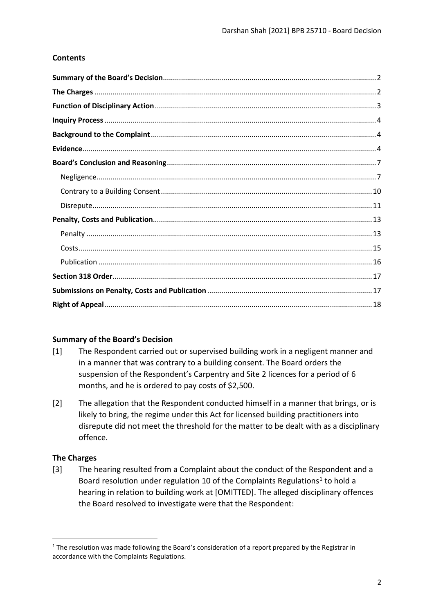# **Contents**

#### <span id="page-1-0"></span>**Summary of the Board's Decision**

- [1] The Respondent carried out or supervised building work in a negligent manner and in a manner that was contrary to a building consent. The Board orders the suspension of the Respondent's Carpentry and Site 2 licences for a period of 6 months, and he is ordered to pay costs of \$2,500.
- [2] The allegation that the Respondent conducted himself in a manner that brings, or is likely to bring, the regime under this Act for licensed building practitioners into disrepute did not meet the threshold for the matter to be dealt with as a disciplinary offence.

# <span id="page-1-1"></span>**The Charges**

[3] The hearing resulted from a Complaint about the conduct of the Respondent and a Board resolution under regulation 10 of the Complaints Regulations<sup>1</sup> to hold a hearing in relation to building work at [OMITTED]. The alleged disciplinary offences the Board resolved to investigate were that the Respondent:

<span id="page-1-2"></span><sup>&</sup>lt;sup>1</sup> The resolution was made following the Board's consideration of a report prepared by the Registrar in accordance with the Complaints Regulations.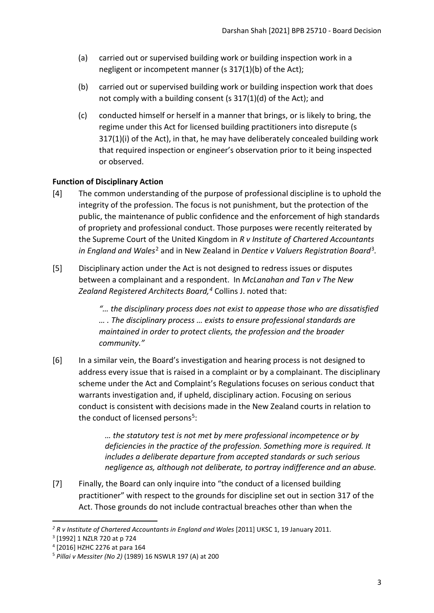- (a) carried out or supervised building work or building inspection work in a negligent or incompetent manner (s 317(1)(b) of the Act);
- (b) carried out or supervised building work or building inspection work that does not comply with a building consent (s 317(1)(d) of the Act); and
- (c) conducted himself or herself in a manner that brings, or is likely to bring, the regime under this Act for licensed building practitioners into disrepute (s 317(1)(i) of the Act), in that, he may have deliberately concealed building work that required inspection or engineer's observation prior to it being inspected or observed.

# <span id="page-2-0"></span>**Function of Disciplinary Action**

- [4] The common understanding of the purpose of professional discipline is to uphold the integrity of the profession. The focus is not punishment, but the protection of the public, the maintenance of public confidence and the enforcement of high standards of propriety and professional conduct. Those purposes were recently reiterated by the Supreme Court of the United Kingdom in *R v Institute of Chartered Accountants in England and Wales*[2](#page-2-1) and in New Zealand in *Dentice v Valuers Registration Board*[3](#page-2-2)*.*
- [5] Disciplinary action under the Act is not designed to redress issues or disputes between a complainant and a respondent. In *McLanahan and Tan v The New Zealand Registered Architects Board, [4](#page-2-3)* Collins J. noted that:

*"… the disciplinary process does not exist to appease those who are dissatisfied … . The disciplinary process … exists to ensure professional standards are maintained in order to protect clients, the profession and the broader community."*

[6] In a similar vein, the Board's investigation and hearing process is not designed to address every issue that is raised in a complaint or by a complainant. The disciplinary scheme under the Act and Complaint's Regulations focuses on serious conduct that warrants investigation and, if upheld, disciplinary action. Focusing on serious conduct is consistent with decisions made in the New Zealand courts in relation to the conduct of licensed persons<sup>[5](#page-2-4)</sup>:

> *… the statutory test is not met by mere professional incompetence or by deficiencies in the practice of the profession. Something more is required. It includes a deliberate departure from accepted standards or such serious negligence as, although not deliberate, to portray indifference and an abuse.*

[7] Finally, the Board can only inquire into "the conduct of a licensed building practitioner" with respect to the grounds for discipline set out in section 317 of the Act. Those grounds do not include contractual breaches other than when the

<span id="page-2-1"></span><sup>&</sup>lt;sup>2</sup> R v Institute of Chartered Accountants in England and Wales [2011] UKSC 1, 19 January 2011.

<span id="page-2-2"></span><sup>3</sup> [1992] 1 NZLR 720 at p 724

<span id="page-2-3"></span><sup>4</sup> [2016] HZHC 2276 at para 164

<span id="page-2-4"></span><sup>5</sup> *Pillai v Messiter (No 2)* (1989) 16 NSWLR 197 (A) at 200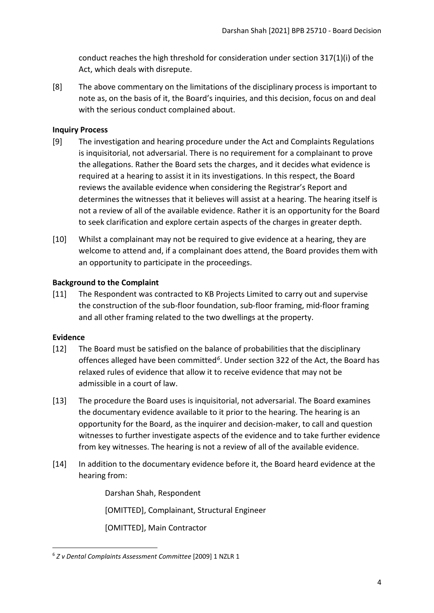conduct reaches the high threshold for consideration under section 317(1)(i) of the Act, which deals with disrepute.

[8] The above commentary on the limitations of the disciplinary process is important to note as, on the basis of it, the Board's inquiries, and this decision, focus on and deal with the serious conduct complained about.

## <span id="page-3-0"></span>**Inquiry Process**

- [9] The investigation and hearing procedure under the Act and Complaints Regulations is inquisitorial, not adversarial. There is no requirement for a complainant to prove the allegations. Rather the Board sets the charges, and it decides what evidence is required at a hearing to assist it in its investigations. In this respect, the Board reviews the available evidence when considering the Registrar's Report and determines the witnesses that it believes will assist at a hearing. The hearing itself is not a review of all of the available evidence. Rather it is an opportunity for the Board to seek clarification and explore certain aspects of the charges in greater depth.
- [10] Whilst a complainant may not be required to give evidence at a hearing, they are welcome to attend and, if a complainant does attend, the Board provides them with an opportunity to participate in the proceedings.

## <span id="page-3-1"></span>**Background to the Complaint**

[11] The Respondent was contracted to KB Projects Limited to carry out and supervise the construction of the sub-floor foundation, sub-floor framing, mid-floor framing and all other framing related to the two dwellings at the property.

#### <span id="page-3-2"></span>**Evidence**

- [12] The Board must be satisfied on the balance of probabilities that the disciplinary offences alleged have been committed*[6](#page-3-3)*. Under section 322 of the Act, the Board has relaxed rules of evidence that allow it to receive evidence that may not be admissible in a court of law.
- [13] The procedure the Board uses is inquisitorial, not adversarial. The Board examines the documentary evidence available to it prior to the hearing. The hearing is an opportunity for the Board, as the inquirer and decision-maker, to call and question witnesses to further investigate aspects of the evidence and to take further evidence from key witnesses. The hearing is not a review of all of the available evidence.
- [14] In addition to the documentary evidence before it, the Board heard evidence at the hearing from:

Darshan Shah, Respondent

[OMITTED], Complainant, Structural Engineer

[OMITTED], Main Contractor

<span id="page-3-3"></span><sup>6</sup> *Z v Dental Complaints Assessment Committee* [2009] 1 NZLR 1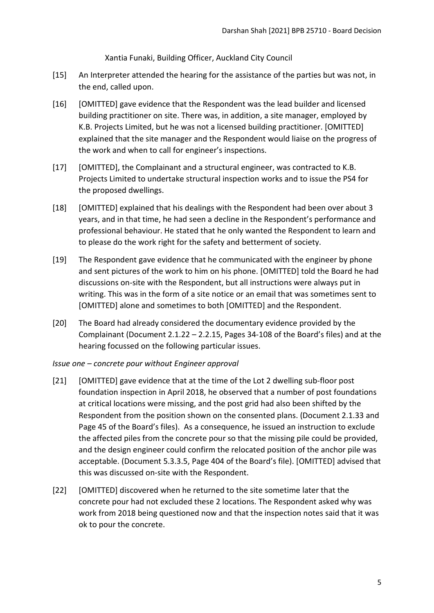Xantia Funaki, Building Officer, Auckland City Council

- [15] An Interpreter attended the hearing for the assistance of the parties but was not, in the end, called upon.
- [16] [OMITTED] gave evidence that the Respondent was the lead builder and licensed building practitioner on site. There was, in addition, a site manager, employed by K.B. Projects Limited, but he was not a licensed building practitioner. [OMITTED] explained that the site manager and the Respondent would liaise on the progress of the work and when to call for engineer's inspections.
- [17] [OMITTED], the Complainant and a structural engineer, was contracted to K.B. Projects Limited to undertake structural inspection works and to issue the PS4 for the proposed dwellings.
- [18] [OMITTED] explained that his dealings with the Respondent had been over about 3 years, and in that time, he had seen a decline in the Respondent's performance and professional behaviour. He stated that he only wanted the Respondent to learn and to please do the work right for the safety and betterment of society.
- [19] The Respondent gave evidence that he communicated with the engineer by phone and sent pictures of the work to him on his phone. [OMITTED] told the Board he had discussions on-site with the Respondent, but all instructions were always put in writing. This was in the form of a site notice or an email that was sometimes sent to [OMITTED] alone and sometimes to both [OMITTED] and the Respondent.
- [20] The Board had already considered the documentary evidence provided by the Complainant (Document 2.1.22 – 2.2.15, Pages 34-108 of the Board's files) and at the hearing focussed on the following particular issues.
- *Issue one concrete pour without Engineer approval*
- [21] [OMITTED] gave evidence that at the time of the Lot 2 dwelling sub-floor post foundation inspection in April 2018, he observed that a number of post foundations at critical locations were missing, and the post grid had also been shifted by the Respondent from the position shown on the consented plans. (Document 2.1.33 and Page 45 of the Board's files). As a consequence, he issued an instruction to exclude the affected piles from the concrete pour so that the missing pile could be provided, and the design engineer could confirm the relocated position of the anchor pile was acceptable. (Document 5.3.3.5, Page 404 of the Board's file). [OMITTED] advised that this was discussed on-site with the Respondent.
- [22] [OMITTED] discovered when he returned to the site sometime later that the concrete pour had not excluded these 2 locations. The Respondent asked why was work from 2018 being questioned now and that the inspection notes said that it was ok to pour the concrete.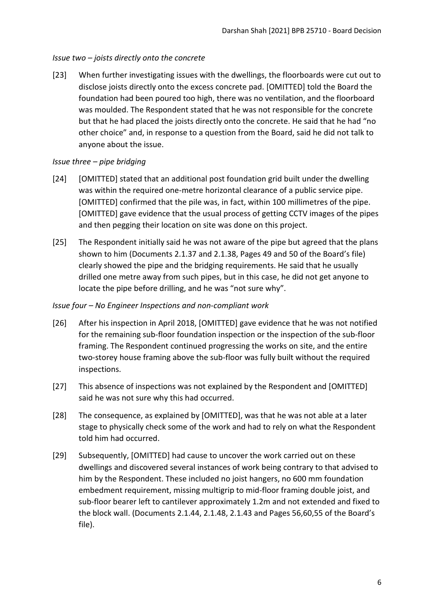# *Issue two – joists directly onto the concrete*

[23] When further investigating issues with the dwellings, the floorboards were cut out to disclose joists directly onto the excess concrete pad. [OMITTED] told the Board the foundation had been poured too high, there was no ventilation, and the floorboard was moulded. The Respondent stated that he was not responsible for the concrete but that he had placed the joists directly onto the concrete. He said that he had "no other choice" and, in response to a question from the Board, said he did not talk to anyone about the issue.

# *Issue three – pipe bridging*

- [24] [OMITTED] stated that an additional post foundation grid built under the dwelling was within the required one-metre horizontal clearance of a public service pipe. [OMITTED] confirmed that the pile was, in fact, within 100 millimetres of the pipe. [OMITTED] gave evidence that the usual process of getting CCTV images of the pipes and then pegging their location on site was done on this project.
- [25] The Respondent initially said he was not aware of the pipe but agreed that the plans shown to him (Documents 2.1.37 and 2.1.38, Pages 49 and 50 of the Board's file) clearly showed the pipe and the bridging requirements. He said that he usually drilled one metre away from such pipes, but in this case, he did not get anyone to locate the pipe before drilling, and he was "not sure why".

## *Issue four – No Engineer Inspections and non-compliant work*

- [26] After his inspection in April 2018, [OMITTED] gave evidence that he was not notified for the remaining sub-floor foundation inspection or the inspection of the sub-floor framing. The Respondent continued progressing the works on site, and the entire two-storey house framing above the sub-floor was fully built without the required inspections.
- [27] This absence of inspections was not explained by the Respondent and [OMITTED] said he was not sure why this had occurred.
- [28] The consequence, as explained by [OMITTED], was that he was not able at a later stage to physically check some of the work and had to rely on what the Respondent told him had occurred.
- [29] Subsequently, [OMITTED] had cause to uncover the work carried out on these dwellings and discovered several instances of work being contrary to that advised to him by the Respondent. These included no joist hangers, no 600 mm foundation embedment requirement, missing multigrip to mid-floor framing double joist, and sub-floor bearer left to cantilever approximately 1.2m and not extended and fixed to the block wall. (Documents 2.1.44, 2.1.48, 2.1.43 and Pages 56,60,55 of the Board's file).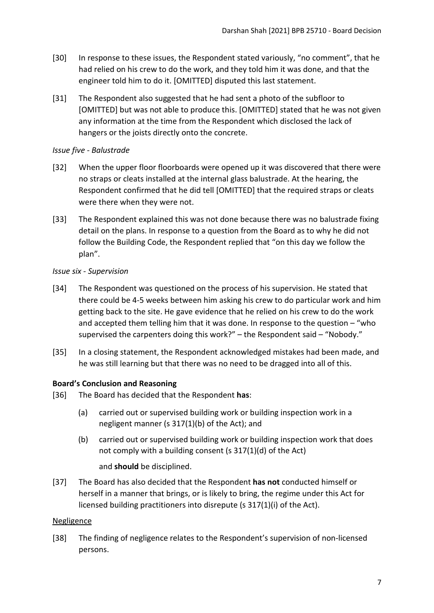- [30] In response to these issues, the Respondent stated variously, "no comment", that he had relied on his crew to do the work, and they told him it was done, and that the engineer told him to do it. [OMITTED] disputed this last statement.
- [31] The Respondent also suggested that he had sent a photo of the subfloor to [OMITTED] but was not able to produce this. [OMITTED] stated that he was not given any information at the time from the Respondent which disclosed the lack of hangers or the joists directly onto the concrete.

## *Issue five - Balustrade*

- [32] When the upper floor floorboards were opened up it was discovered that there were no straps or cleats installed at the internal glass balustrade. At the hearing, the Respondent confirmed that he did tell [OMITTED] that the required straps or cleats were there when they were not.
- [33] The Respondent explained this was not done because there was no balustrade fixing detail on the plans. In response to a question from the Board as to why he did not follow the Building Code, the Respondent replied that "on this day we follow the plan".

## *Issue six - Supervision*

- [34] The Respondent was questioned on the process of his supervision. He stated that there could be 4-5 weeks between him asking his crew to do particular work and him getting back to the site. He gave evidence that he relied on his crew to do the work and accepted them telling him that it was done. In response to the question – "who supervised the carpenters doing this work?" – the Respondent said – "Nobody."
- [35] In a closing statement, the Respondent acknowledged mistakes had been made, and he was still learning but that there was no need to be dragged into all of this.

# <span id="page-6-0"></span>**Board's Conclusion and Reasoning**

- [36] The Board has decided that the Respondent **has**:
	- (a) carried out or supervised building work or building inspection work in a negligent manner (s 317(1)(b) of the Act); and
	- (b) carried out or supervised building work or building inspection work that does not comply with a building consent (s 317(1)(d) of the Act)

and **should** be disciplined.

[37] The Board has also decided that the Respondent **has not** conducted himself or herself in a manner that brings, or is likely to bring, the regime under this Act for licensed building practitioners into disrepute (s 317(1)(i) of the Act).

#### <span id="page-6-1"></span>Negligence

[38] The finding of negligence relates to the Respondent's supervision of non-licensed persons.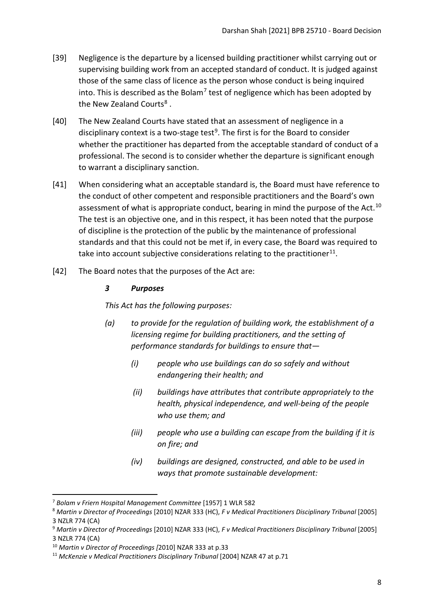- [39] Negligence is the departure by a licensed building practitioner whilst carrying out or supervising building work from an accepted standard of conduct. It is judged against those of the same class of licence as the person whose conduct is being inquired into. This is described as the Bolam<sup>[7](#page-7-0)</sup> test of negligence which has been adopted by the New Zealand Courts<sup>[8](#page-7-1)</sup>.
- [40] The New Zealand Courts have stated that an assessment of negligence in a disciplinary context is a two-stage test<sup>9</sup>. The first is for the Board to consider whether the practitioner has departed from the acceptable standard of conduct of a professional. The second is to consider whether the departure is significant enough to warrant a disciplinary sanction.
- [41] When considering what an acceptable standard is, the Board must have reference to the conduct of other competent and responsible practitioners and the Board's own assessment of what is appropriate conduct, bearing in mind the purpose of the Act.<sup>[10](#page-7-3)</sup> The test is an objective one, and in this respect, it has been noted that the purpose of discipline is the protection of the public by the maintenance of professional standards and that this could not be met if, in every case, the Board was required to take into account subjective considerations relating to the practitioner<sup>[11](#page-7-4)</sup>.
- [42] The Board notes that the purposes of the Act are:

## *3 Purposes*

*This Act has the following purposes:*

- *(a) to provide for the regulation of building work, the establishment of a licensing regime for building practitioners, and the setting of performance standards for buildings to ensure that—* 
	- *(i) people who use buildings can do so safely and without endangering their health; and*
	- *(ii) buildings have attributes that contribute appropriately to the health, physical independence, and well-being of the people who use them; and*
	- *(iii) people who use a building can escape from the building if it is on fire; and*
	- *(iv) buildings are designed, constructed, and able to be used in ways that promote sustainable development:*

<span id="page-7-0"></span><sup>7</sup> *Bolam v Friern Hospital Management Committee* [1957] 1 WLR 582

<span id="page-7-1"></span><sup>8</sup> *Martin v Director of Proceedings* [2010] NZAR 333 (HC), *F v Medical Practitioners Disciplinary Tribunal* [2005] 3 NZLR 774 (CA)

<span id="page-7-2"></span><sup>9</sup> *Martin v Director of Proceedings* [2010] NZAR 333 (HC), *F v Medical Practitioners Disciplinary Tribunal* [2005] 3 NZLR 774 (CA)

<span id="page-7-3"></span><sup>10</sup> *Martin v Director of Proceedings [*2010] NZAR 333 at p.33

<span id="page-7-4"></span><sup>11</sup> *McKenzie v Medical Practitioners Disciplinary Tribunal* [2004] NZAR 47 at p.71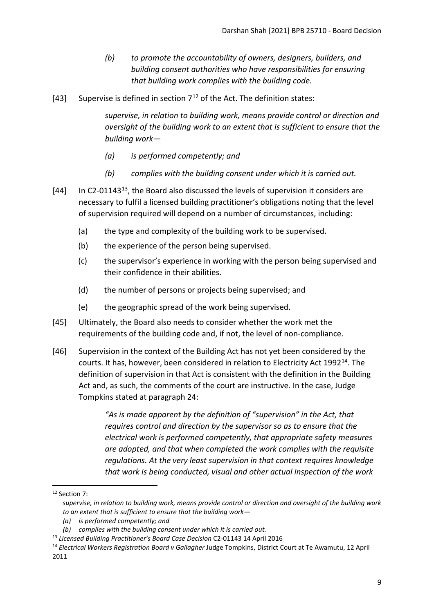- *(b) to promote the accountability of owners, designers, builders, and building consent authorities who have responsibilities for ensuring that building work complies with the building code.*
- [43] Supervise is defined in section  $7^{12}$  $7^{12}$  $7^{12}$  of the Act. The definition states:

*supervise, in relation to building work, means provide control or direction and oversight of the building work to an extent that is sufficient to ensure that the building work—* 

- *(a) is performed competently; and*
- *(b) complies with the building consent under which it is carried out.*
- [44] In C2-01143<sup>[13](#page-8-1)</sup>, the Board also discussed the levels of supervision it considers are necessary to fulfil a licensed building practitioner's obligations noting that the level of supervision required will depend on a number of circumstances, including:
	- (a) the type and complexity of the building work to be supervised.
	- (b) the experience of the person being supervised.
	- (c) the supervisor's experience in working with the person being supervised and their confidence in their abilities.
	- (d) the number of persons or projects being supervised; and
	- (e) the geographic spread of the work being supervised.
- [45] Ultimately, the Board also needs to consider whether the work met the requirements of the building code and, if not, the level of non-compliance.
- [46] Supervision in the context of the Building Act has not yet been considered by the courts. It has, however, been considered in relation to Electricity Act 1992[14.](#page-8-2) The definition of supervision in that Act is consistent with the definition in the Building Act and, as such, the comments of the court are instructive. In the case, Judge Tompkins stated at paragraph 24:

*"As is made apparent by the definition of "supervision" in the Act, that requires control and direction by the supervisor so as to ensure that the electrical work is performed competently, that appropriate safety measures are adopted, and that when completed the work complies with the requisite regulations. At the very least supervision in that context requires knowledge that work is being conducted, visual and other actual inspection of the work* 

<span id="page-8-0"></span><sup>12</sup> Section 7:

*supervise, in relation to building work, means provide control or direction and oversight of the building work to an extent that is sufficient to ensure that the building work—* 

*<sup>(</sup>a) is performed competently; and*

*<sup>(</sup>b) complies with the building consent under which it is carried out.*

<span id="page-8-1"></span><sup>13</sup> *Licensed Building Practitioner's Board Case Decision* C2-01143 14 April 2016

<span id="page-8-2"></span><sup>14</sup> *Electrical Workers Registration Board v Gallagher* Judge Tompkins, District Court at Te Awamutu, 12 April 2011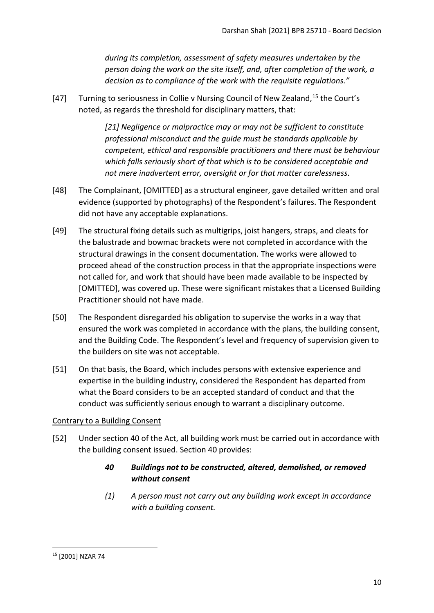*during its completion, assessment of safety measures undertaken by the person doing the work on the site itself, and, after completion of the work, a decision as to compliance of the work with the requisite regulations."*

[47] Turning to seriousness in Collie v Nursing Council of New Zealand,  $15$  the Court's noted, as regards the threshold for disciplinary matters, that:

> *[21] Negligence or malpractice may or may not be sufficient to constitute professional misconduct and the guide must be standards applicable by competent, ethical and responsible practitioners and there must be behaviour which falls seriously short of that which is to be considered acceptable and not mere inadvertent error, oversight or for that matter carelessness*.

- [48] The Complainant, [OMITTED] as a structural engineer, gave detailed written and oral evidence (supported by photographs) of the Respondent's failures. The Respondent did not have any acceptable explanations.
- [49] The structural fixing details such as multigrips, joist hangers, straps, and cleats for the balustrade and bowmac brackets were not completed in accordance with the structural drawings in the consent documentation. The works were allowed to proceed ahead of the construction process in that the appropriate inspections were not called for, and work that should have been made available to be inspected by [OMITTED], was covered up. These were significant mistakes that a Licensed Building Practitioner should not have made.
- [50] The Respondent disregarded his obligation to supervise the works in a way that ensured the work was completed in accordance with the plans, the building consent, and the Building Code. The Respondent's level and frequency of supervision given to the builders on site was not acceptable.
- [51] On that basis, the Board, which includes persons with extensive experience and expertise in the building industry, considered the Respondent has departed from what the Board considers to be an accepted standard of conduct and that the conduct was sufficiently serious enough to warrant a disciplinary outcome.

#### <span id="page-9-0"></span>Contrary to a Building Consent

[52] Under section 40 of the Act, all building work must be carried out in accordance with the building consent issued. Section 40 provides:

# *40 Buildings not to be constructed, altered, demolished, or removed without consent*

*(1) A person must not carry out any building work except in accordance with a building consent.*

<span id="page-9-1"></span><sup>15</sup> [2001] NZAR 74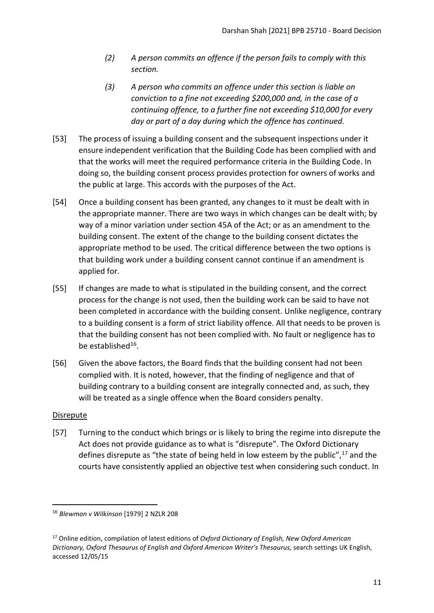- *(2) A person commits an offence if the person fails to comply with this section.*
- *(3) A person who commits an offence under this section is liable on conviction to a fine not exceeding \$200,000 and, in the case of a continuing offence, to a further fine not exceeding \$10,000 for every day or part of a day during which the offence has continued.*
- [53] The process of issuing a building consent and the subsequent inspections under it ensure independent verification that the Building Code has been complied with and that the works will meet the required performance criteria in the Building Code. In doing so, the building consent process provides protection for owners of works and the public at large. This accords with the purposes of the Act.
- [54] Once a building consent has been granted, any changes to it must be dealt with in the appropriate manner. There are two ways in which changes can be dealt with; by way of a minor variation under section 45A of the Act; or as an amendment to the building consent. The extent of the change to the building consent dictates the appropriate method to be used. The critical difference between the two options is that building work under a building consent cannot continue if an amendment is applied for.
- [55] If changes are made to what is stipulated in the building consent, and the correct process for the change is not used, then the building work can be said to have not been completed in accordance with the building consent. Unlike negligence, contrary to a building consent is a form of strict liability offence. All that needs to be proven is that the building consent has not been complied with. No fault or negligence has to be established $16$ .
- [56] Given the above factors, the Board finds that the building consent had not been complied with. It is noted, however, that the finding of negligence and that of building contrary to a building consent are integrally connected and, as such, they will be treated as a single offence when the Board considers penalty.

# <span id="page-10-0"></span>Disrepute

[57] Turning to the conduct which brings or is likely to bring the regime into disrepute the Act does not provide guidance as to what is "disrepute". The Oxford Dictionary defines disrepute as "the state of being held in low esteem by the public",<sup>[17](#page-10-2)</sup> and the courts have consistently applied an objective test when considering such conduct. In

<span id="page-10-1"></span><sup>16</sup> *Blewman v Wilkinson* [1979] 2 NZLR 208

<span id="page-10-2"></span><sup>17</sup> Online edition, compilation of latest editions of *Oxford Dictionary of English, New Oxford American Dictionary, Oxford Thesaurus of English and Oxford American Writer's Thesaurus,* search settings UK English, accessed 12/05/15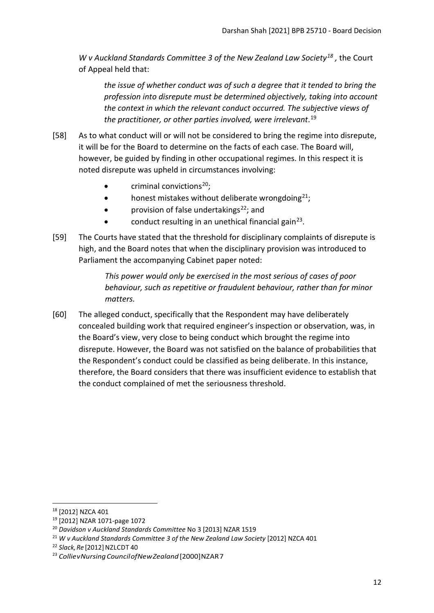*W v Auckland Standards Committee 3 of the New Zealand Law Society[18](#page-11-0) ,* the Court of Appeal held that:

*the issue of whether conduct was of such a degree that it tended to bring the profession into disrepute must be determined objectively, taking into account the context in which the relevant conduct occurred. The subjective views of the practitioner, or other parties involved, were irrelevant*. [19](#page-11-1)

- [58] As to what conduct will or will not be considered to bring the regime into disrepute, it will be for the Board to determine on the facts of each case. The Board will, however, be guided by finding in other occupational regimes. In this respect it is noted disrepute was upheld in circumstances involving:
	- $\bullet$  criminal convictions<sup>20</sup>;
	- honest mistakes without deliberate wrongdoing $^{21}$ ;
	- provision of false undertakings<sup>[22](#page-11-4)</sup>; and
	- conduct resulting in an unethical financial gain<sup>23</sup>.
- [59] The Courts have stated that the threshold for disciplinary complaints of disrepute is high, and the Board notes that when the disciplinary provision was introduced to Parliament the accompanying Cabinet paper noted:

*This power would only be exercised in the most serious of cases of poor behaviour, such as repetitive or fraudulent behaviour, rather than for minor matters.* 

[60] The alleged conduct, specifically that the Respondent may have deliberately concealed building work that required engineer's inspection or observation, was, in the Board's view, very close to being conduct which brought the regime into disrepute. However, the Board was not satisfied on the balance of probabilities that the Respondent's conduct could be classified as being deliberate. In this instance, therefore, the Board considers that there was insufficient evidence to establish that the conduct complained of met the seriousness threshold.

<span id="page-11-0"></span><sup>18</sup> [2012] NZCA 401

<span id="page-11-1"></span><sup>19</sup> [2012] NZAR 1071-page 1072

<span id="page-11-2"></span><sup>20</sup> *Davidson v Auckland Standards Committee* No 3 [2013] NZAR 1519

<span id="page-11-3"></span><sup>&</sup>lt;sup>21</sup> W v Auckland Standards Committee 3 of the New Zealand Law Society [2012] NZCA 401

<span id="page-11-4"></span><sup>&</sup>lt;sup>22</sup> Slack, Re<sup>[2012]</sup> NZLCDT 40

<span id="page-11-5"></span><sup>&</sup>lt;sup>23</sup> Collie v Nursing Council of New Zealand [2000] NZAR 7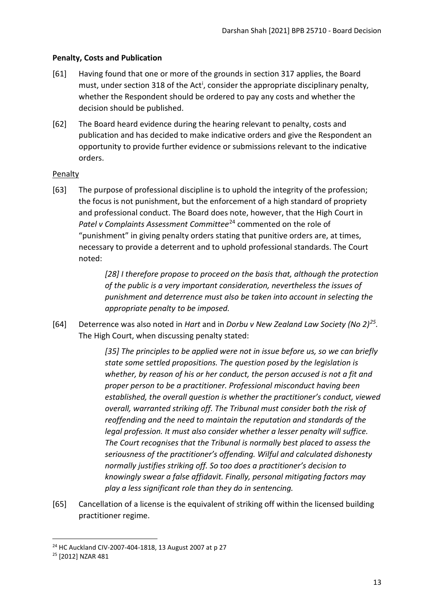# <span id="page-12-0"></span>**Penalty, Costs and Publication**

- [61] Having found that one or more of the grounds in section 317 applies, the Board must, under sect[i](#page-17-1)on 318 of the Act<sup>i</sup>, consider the appropriate disciplinary penalty, whether the Respondent should be ordered to pay any costs and whether the decision should be published.
- [62] The Board heard evidence during the hearing relevant to penalty, costs and publication and has decided to make indicative orders and give the Respondent an opportunity to provide further evidence or submissions relevant to the indicative orders.

#### <span id="page-12-1"></span>**Penalty**

[63] The purpose of professional discipline is to uphold the integrity of the profession; the focus is not punishment, but the enforcement of a high standard of propriety and professional conduct. The Board does note, however, that the High Court in Patel v Complaints Assessment Committee<sup>[24](#page-12-2)</sup> commented on the role of "punishment" in giving penalty orders stating that punitive orders are, at times, necessary to provide a deterrent and to uphold professional standards. The Court noted:

> *[28] I therefore propose to proceed on the basis that, although the protection of the public is a very important consideration, nevertheless the issues of punishment and deterrence must also be taken into account in selecting the appropriate penalty to be imposed.*

[64] Deterrence was also noted in *Hart* and in *Dorbu v New Zealand Law Society (No 2)[25.](#page-12-3)* The High Court, when discussing penalty stated:

> *[35] The principles to be applied were not in issue before us, so we can briefly state some settled propositions. The question posed by the legislation is whether, by reason of his or her conduct, the person accused is not a fit and proper person to be a practitioner. Professional misconduct having been established, the overall question is whether the practitioner's conduct, viewed overall, warranted striking off. The Tribunal must consider both the risk of reoffending and the need to maintain the reputation and standards of the legal profession. It must also consider whether a lesser penalty will suffice. The Court recognises that the Tribunal is normally best placed to assess the seriousness of the practitioner's offending. Wilful and calculated dishonesty normally justifies striking off. So too does a practitioner's decision to knowingly swear a false affidavit. Finally, personal mitigating factors may play a less significant role than they do in sentencing.*

[65] Cancellation of a license is the equivalent of striking off within the licensed building practitioner regime.

<span id="page-12-2"></span><sup>24</sup> HC Auckland CIV-2007-404-1818, 13 August 2007 at p 27

<span id="page-12-3"></span><sup>25</sup> [2012] NZAR 481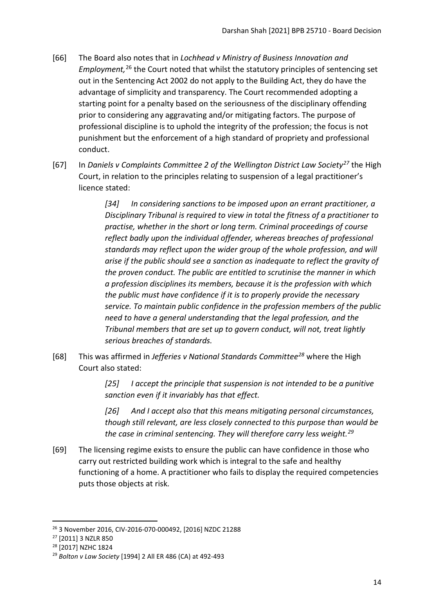- [66] The Board also notes that in *Lochhead v Ministry of Business Innovation and Employment,* [26](#page-13-0) the Court noted that whilst the statutory principles of sentencing set out in the Sentencing Act 2002 do not apply to the Building Act, they do have the advantage of simplicity and transparency. The Court recommended adopting a starting point for a penalty based on the seriousness of the disciplinary offending prior to considering any aggravating and/or mitigating factors. The purpose of professional discipline is to uphold the integrity of the profession; the focus is not punishment but the enforcement of a high standard of propriety and professional conduct.
- [67] In *Daniels v Complaints Committee 2 of the Wellington District Law Society[27](#page-13-1)* the High Court, in relation to the principles relating to suspension of a legal practitioner's licence stated:

*[34] In considering sanctions to be imposed upon an errant practitioner, a Disciplinary Tribunal is required to view in total the fitness of a practitioner to practise, whether in the short or long term. Criminal proceedings of course reflect badly upon the individual offender, whereas breaches of professional standards may reflect upon the wider group of the whole profession, and will arise if the public should see a sanction as inadequate to reflect the gravity of the proven conduct. The public are entitled to scrutinise the manner in which a profession disciplines its members, because it is the profession with which the public must have confidence if it is to properly provide the necessary service. To maintain public confidence in the profession members of the public need to have a general understanding that the legal profession, and the Tribunal members that are set up to govern conduct, will not, treat lightly serious breaches of standards.*

[68] This was affirmed in *Jefferies v National Standards Committee[28](#page-13-2)* where the High Court also stated:

> *[25] I accept the principle that suspension is not intended to be a punitive sanction even if it invariably has that effect.*

*[26] And I accept also that this means mitigating personal circumstances, though still relevant, are less closely connected to this purpose than would be the case in criminal sentencing. They will therefore carry less weight. [29](#page-13-3)*

[69] The licensing regime exists to ensure the public can have confidence in those who carry out restricted building work which is integral to the safe and healthy functioning of a home. A practitioner who fails to display the required competencies puts those objects at risk.

<span id="page-13-0"></span><sup>26</sup> 3 November 2016, CIV-2016-070-000492, [2016] NZDC 21288

<span id="page-13-1"></span><sup>27</sup> [2011] 3 NZLR 850

<span id="page-13-2"></span><sup>28</sup> [2017] NZHC 1824

<span id="page-13-3"></span><sup>29</sup> *Bolton v Law Society* [1994] 2 All ER 486 (CA) at 492-493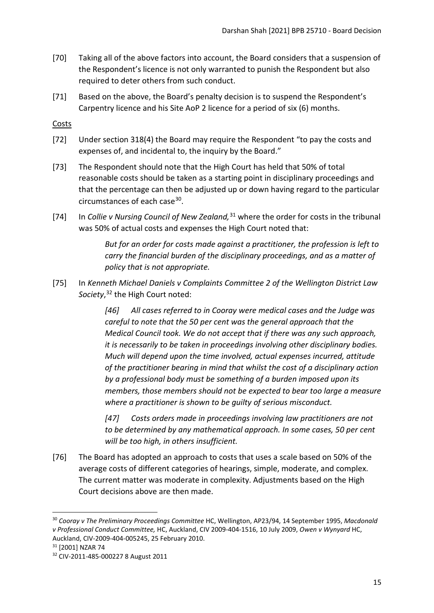- [70] Taking all of the above factors into account, the Board considers that a suspension of the Respondent's licence is not only warranted to punish the Respondent but also required to deter others from such conduct.
- [71] Based on the above, the Board's penalty decision is to suspend the Respondent's Carpentry licence and his Site AoP 2 licence for a period of six (6) months.

<span id="page-14-0"></span>Costs

- [72] Under section 318(4) the Board may require the Respondent "to pay the costs and expenses of, and incidental to, the inquiry by the Board."
- [73] The Respondent should note that the High Court has held that 50% of total reasonable costs should be taken as a starting point in disciplinary proceedings and that the percentage can then be adjusted up or down having regard to the particular circumstances of each case[30.](#page-14-1)
- [74] In *Collie v Nursing Council of New Zealand,* [31](#page-14-2) where the order for costs in the tribunal was 50% of actual costs and expenses the High Court noted that:

*But for an order for costs made against a practitioner, the profession is left to carry the financial burden of the disciplinary proceedings, and as a matter of policy that is not appropriate.*

[75] In *Kenneth Michael Daniels v Complaints Committee 2 of the Wellington District Law Society*, [32](#page-14-3) the High Court noted:

> *[46] All cases referred to in Cooray were medical cases and the Judge was careful to note that the 50 per cent was the general approach that the Medical Council took. We do not accept that if there was any such approach, it is necessarily to be taken in proceedings involving other disciplinary bodies. Much will depend upon the time involved, actual expenses incurred, attitude of the practitioner bearing in mind that whilst the cost of a disciplinary action by a professional body must be something of a burden imposed upon its members, those members should not be expected to bear too large a measure where a practitioner is shown to be guilty of serious misconduct.*

*[47] Costs orders made in proceedings involving law practitioners are not to be determined by any mathematical approach. In some cases, 50 per cent will be too high, in others insufficient.*

[76] The Board has adopted an approach to costs that uses a scale based on 50% of the average costs of different categories of hearings, simple, moderate, and complex. The current matter was moderate in complexity. Adjustments based on the High Court decisions above are then made.

<span id="page-14-1"></span><sup>30</sup> *Cooray v The Preliminary Proceedings Committee* HC, Wellington, AP23/94, 14 September 1995, *Macdonald v Professional Conduct Committee,* HC, Auckland, CIV 2009-404-1516, 10 July 2009, *Owen v Wynyard* HC, Auckland, CIV-2009-404-005245, 25 February 2010.<br><sup>31</sup> [2001] NZAR 74

<span id="page-14-2"></span>

<span id="page-14-3"></span><sup>32</sup> CIV-2011-485-000227 8 August 2011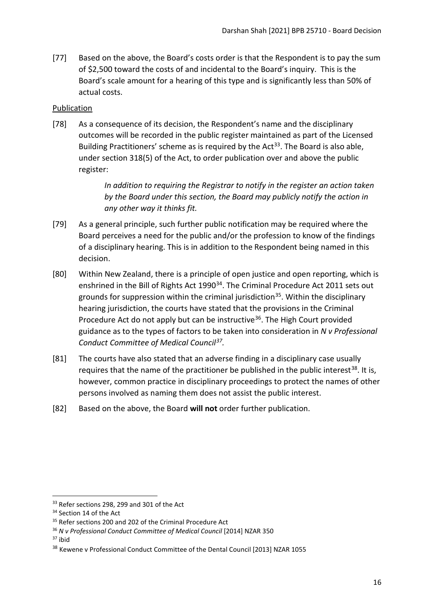[77] Based on the above, the Board's costs order is that the Respondent is to pay the sum of \$2,500 toward the costs of and incidental to the Board's inquiry. This is the Board's scale amount for a hearing of this type and is significantly less than 50% of actual costs.

## <span id="page-15-0"></span>Publication

[78] As a consequence of its decision, the Respondent's name and the disciplinary outcomes will be recorded in the public register maintained as part of the Licensed Building Practitioners' scheme as is required by the Act<sup>[33](#page-15-1)</sup>. The Board is also able, under section 318(5) of the Act, to order publication over and above the public register:

> *In addition to requiring the Registrar to notify in the register an action taken by the Board under this section, the Board may publicly notify the action in any other way it thinks fit.*

- [79] As a general principle, such further public notification may be required where the Board perceives a need for the public and/or the profession to know of the findings of a disciplinary hearing. This is in addition to the Respondent being named in this decision.
- [80] Within New Zealand, there is a principle of open justice and open reporting, which is enshrined in the Bill of Rights Act 1990<sup>34</sup>. The Criminal Procedure Act 2011 sets out grounds for suppression within the criminal jurisdiction<sup>35</sup>. Within the disciplinary hearing jurisdiction, the courts have stated that the provisions in the Criminal Procedure Act do not apply but can be instructive<sup>[36](#page-15-4)</sup>. The High Court provided guidance as to the types of factors to be taken into consideration in *N v Professional Conduct Committee of Medical Council[37](#page-15-5).*
- [81] The courts have also stated that an adverse finding in a disciplinary case usually requires that the name of the practitioner be published in the public interest<sup>[38](#page-15-6)</sup>. It is, however, common practice in disciplinary proceedings to protect the names of other persons involved as naming them does not assist the public interest.
- [82] Based on the above, the Board **will not** order further publication.

<span id="page-15-5"></span> $37$  ibid

<span id="page-15-1"></span><sup>&</sup>lt;sup>33</sup> Refer sections 298, 299 and 301 of the Act

<span id="page-15-2"></span><sup>&</sup>lt;sup>34</sup> Section 14 of the Act

<span id="page-15-3"></span><sup>&</sup>lt;sup>35</sup> Refer sections 200 and 202 of the Criminal Procedure Act

<span id="page-15-4"></span><sup>36</sup> *N v Professional Conduct Committee of Medical Council* [2014] NZAR 350

<span id="page-15-6"></span><sup>&</sup>lt;sup>38</sup> Kewene v Professional Conduct Committee of the Dental Council [2013] NZAR 1055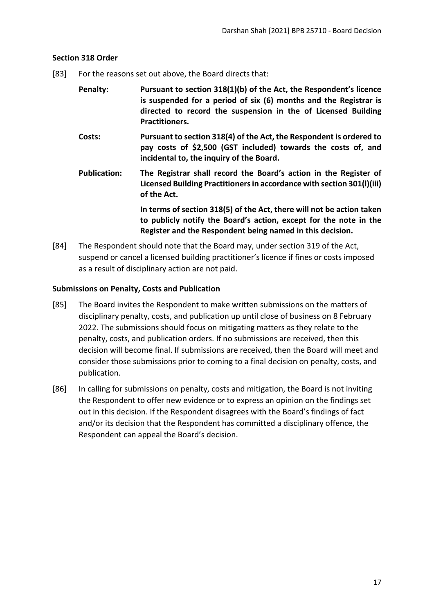## <span id="page-16-0"></span>**Section 318 Order**

- [83] For the reasons set out above, the Board directs that:
	- **Penalty: Pursuant to section 318(1)(b) of the Act, the Respondent's licence is suspended for a period of six (6) months and the Registrar is directed to record the suspension in the of Licensed Building Practitioners.**
	- **Costs: Pursuant to section 318(4) of the Act, the Respondent is ordered to pay costs of \$2,500 (GST included) towards the costs of, and incidental to, the inquiry of the Board.**
	- **Publication: The Registrar shall record the Board's action in the Register of Licensed Building Practitioners in accordance with section 301(l)(iii) of the Act.**

**In terms of section 318(5) of the Act, there will not be action taken to publicly notify the Board's action, except for the note in the Register and the Respondent being named in this decision.**

[84] The Respondent should note that the Board may, under section 319 of the Act, suspend or cancel a licensed building practitioner's licence if fines or costs imposed as a result of disciplinary action are not paid.

## <span id="page-16-1"></span>**Submissions on Penalty, Costs and Publication**

- [85] The Board invites the Respondent to make written submissions on the matters of disciplinary penalty, costs, and publication up until close of business on 8 February 2022. The submissions should focus on mitigating matters as they relate to the penalty, costs, and publication orders. If no submissions are received, then this decision will become final. If submissions are received, then the Board will meet and consider those submissions prior to coming to a final decision on penalty, costs, and publication.
- [86] In calling for submissions on penalty, costs and mitigation, the Board is not inviting the Respondent to offer new evidence or to express an opinion on the findings set out in this decision. If the Respondent disagrees with the Board's findings of fact and/or its decision that the Respondent has committed a disciplinary offence, the Respondent can appeal the Board's decision.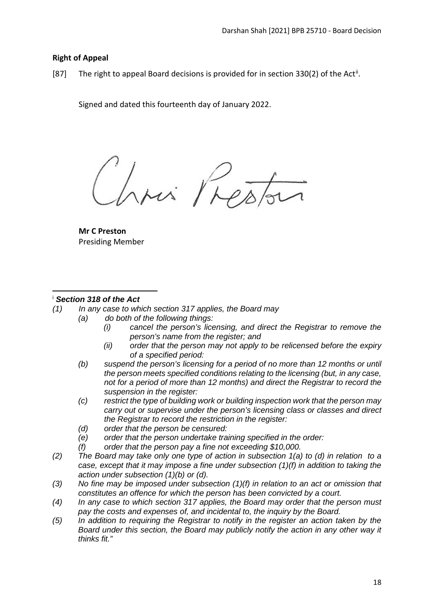# <span id="page-17-0"></span>**Right of Appeal**

[87] The right to appeal Board decisions is provided for in section 330(2) of the Act<sup>[ii](#page-18-0)</sup>.

Signed and dated this fourteenth day of January 2022.

Mi Phe

**Mr C Preston** Presiding Member

# <span id="page-17-1"></span><sup>i</sup> *Section 318 of the Act*

- *(1) In any case to which section 317 applies, the Board may*
	- *(a) do both of the following things:*
		- *(i) cancel the person's licensing, and direct the Registrar to remove the person's name from the register; and*
		- *(ii) order that the person may not apply to be relicensed before the expiry of a specified period:*
	- *(b) suspend the person's licensing for a period of no more than 12 months or until the person meets specified conditions relating to the licensing (but, in any case, not for a period of more than 12 months) and direct the Registrar to record the suspension in the register:*
	- *(c) restrict the type of building work or building inspection work that the person may carry out or supervise under the person's licensing class or classes and direct the Registrar to record the restriction in the register:*
	- *(d) order that the person be censured:*
	- *(e) order that the person undertake training specified in the order:*
	- *(f) order that the person pay a fine not exceeding \$10,000.*
- *(2) The Board may take only one type of action in subsection 1(a) to (d) in relation to a case, except that it may impose a fine under subsection (1)(f) in addition to taking the action under subsection (1)(b) or (d).*
- *(3) No fine may be imposed under subsection (1)(f) in relation to an act or omission that constitutes an offence for which the person has been convicted by a court.*
- *(4) In any case to which section 317 applies, the Board may order that the person must pay the costs and expenses of, and incidental to, the inquiry by the Board.*
- *(5) In addition to requiring the Registrar to notify in the register an action taken by the Board under this section, the Board may publicly notify the action in any other way it thinks fit."*